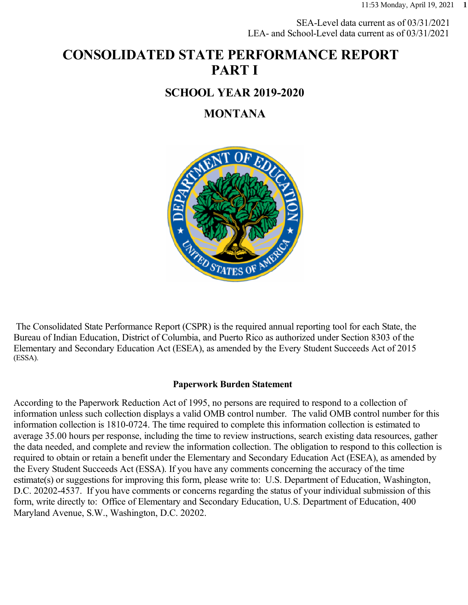SEA-Level data current as of 03/31/2021 LEA- and School-Level data current as of 03/31/2021

# **CONSOLIDATED STATE PERFORMANCE REPORT PART I**

#### **SCHOOL YEAR 2019-2020**

#### **MONTANA**



 The Consolidated State Performance Report (CSPR) is the required annual reporting tool for each State, the Bureau of Indian Education, District of Columbia, and Puerto Rico as authorized under Section 8303 of the Elementary and Secondary Education Act (ESEA), as amended by the Every Student Succeeds Act of 2015 (ESSA).

#### **Paperwork Burden Statement**

According to the Paperwork Reduction Act of 1995, no persons are required to respond to a collection of information unless such collection displays a valid OMB control number. The valid OMB control number for this information collection is 1810-0724. The time required to complete this information collection is estimated to average 35.00 hours per response, including the time to review instructions, search existing data resources, gather the data needed, and complete and review the information collection. The obligation to respond to this collection is required to obtain or retain a benefit under the Elementary and Secondary Education Act (ESEA), as amended by the Every Student Succeeds Act (ESSA). If you have any comments concerning the accuracy of the time estimate(s) or suggestions for improving this form, please write to: U.S. Department of Education, Washington, D.C. 20202-4537. If you have comments or concerns regarding the status of your individual submission of this form, write directly to: Office of Elementary and Secondary Education, U.S. Department of Education, 400 Maryland Avenue, S.W., Washington, D.C. 20202.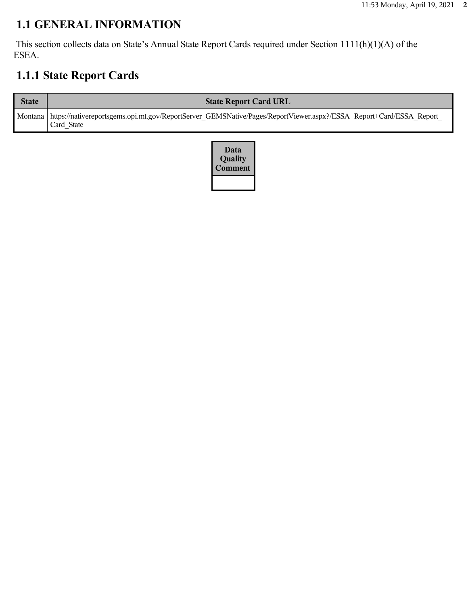## **1.1 GENERAL INFORMATION**

 This section collects data on State's Annual State Report Cards required under Section 1111(h)(1)(A) of the ESEA.

# **1.1.1 State Report Cards**

| <b>State</b> | <b>State Report Card URL</b>                                                                                                                |
|--------------|---------------------------------------------------------------------------------------------------------------------------------------------|
|              | Montana   https://nativereportsgems.opi.mt.gov/ReportServer_GEMSNative/Pages/ReportViewer.aspx?/ESSA+Report+Card/ESSA_Report_<br>Card State |

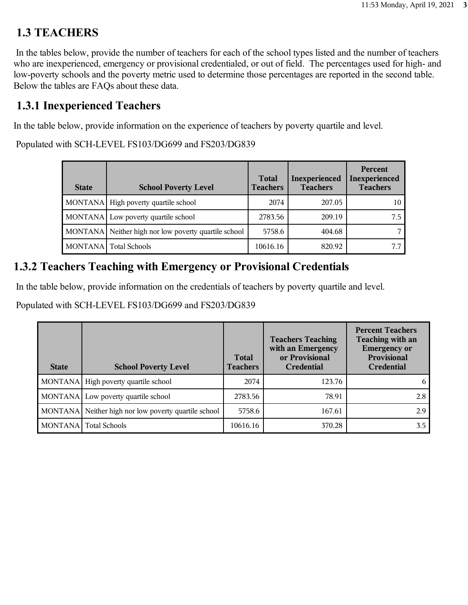## **1.3 TEACHERS**

 In the tables below, provide the number of teachers for each of the school types listed and the number of teachers who are inexperienced, emergency or provisional credentialed, or out of field. The percentages used for high- and low-poverty schools and the poverty metric used to determine those percentages are reported in the second table. Below the tables are FAQs about these data.

## **1.3.1 Inexperienced Teachers**

In the table below, provide information on the experience of teachers by poverty quartile and level.

Populated with SCH-LEVEL FS103/DG699 and FS203/DG839

| <b>State</b> | <b>School Poverty Level</b>                          | <b>Total</b><br><b>Teachers</b> | <b>Inexperienced</b><br><b>Teachers</b> | Percent<br>Inexperienced<br><b>Teachers</b> |
|--------------|------------------------------------------------------|---------------------------------|-----------------------------------------|---------------------------------------------|
|              | MONTANA   High poverty quartile school               | 2074                            | 207.05                                  | 10                                          |
|              | MONTANA Low poverty quartile school                  | 2783.56                         | 209.19                                  | 7.5                                         |
|              | MONTANA Neither high nor low poverty quartile school | 5758.6                          | 404.68                                  |                                             |
| MONTANA      | <b>Total Schools</b>                                 | 10616.16                        | 820.92                                  |                                             |

## **1.3.2 Teachers Teaching with Emergency or Provisional Credentials**

In the table below, provide information on the credentials of teachers by poverty quartile and level.

Populated with SCH-LEVEL FS103/DG699 and FS203/DG839

| <b>State</b> | <b>School Poverty Level</b>                          | <b>Total</b><br><b>Teachers</b> | <b>Teachers Teaching</b><br>with an Emergency<br>or Provisional<br><b>Credential</b> | <b>Percent Teachers</b><br>Teaching with an<br><b>Emergency or</b><br><b>Provisional</b><br><b>Credential</b> |
|--------------|------------------------------------------------------|---------------------------------|--------------------------------------------------------------------------------------|---------------------------------------------------------------------------------------------------------------|
|              | MONTANA High poverty quartile school                 | 2074                            | 123.76                                                                               | <sub>b</sub>                                                                                                  |
|              | MONTANA Low poverty quartile school                  | 2783.56                         | 78.91                                                                                | 2.8                                                                                                           |
|              | MONTANA Neither high nor low poverty quartile school | 5758.6                          | 167.61                                                                               | 2.9                                                                                                           |
|              | MONTANA Total Schools                                | 10616.16                        | 370.28                                                                               | 3.5                                                                                                           |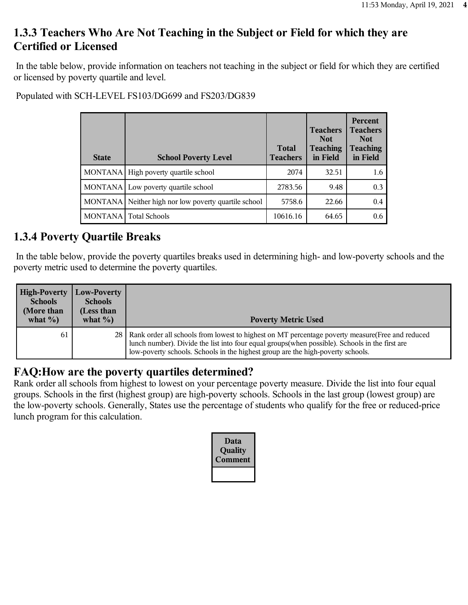## **1.3.3 Teachers Who Are Not Teaching in the Subject or Field for which they are Certified or Licensed**

 In the table below, provide information on teachers not teaching in the subject or field for which they are certified or licensed by poverty quartile and level.

Populated with SCH-LEVEL FS103/DG699 and FS203/DG839

| <b>State</b> | <b>School Poverty Level</b>                          | <b>Total</b><br><b>Teachers</b> | <b>Teachers</b><br><b>Not</b><br><b>Teaching</b><br>in Field | <b>Percent</b><br><b>Teachers</b><br><b>Not</b><br><b>Teaching</b><br>in Field |
|--------------|------------------------------------------------------|---------------------------------|--------------------------------------------------------------|--------------------------------------------------------------------------------|
| MONTANA      | High poverty quartile school                         | 2074                            | 32.51                                                        | 1.6                                                                            |
|              | MONTANA Low poverty quartile school                  | 2783.56                         | 9.48                                                         | 0.3                                                                            |
|              | MONTANA Neither high nor low poverty quartile school | 5758.6                          | 22.66                                                        | 0.4                                                                            |
| MONTANA      | <b>Total Schools</b>                                 | 10616.16                        | 64.65                                                        | 0.6                                                                            |

#### **1.3.4 Poverty Quartile Breaks**

 In the table below, provide the poverty quartiles breaks used in determining high- and low-poverty schools and the poverty metric used to determine the poverty quartiles.

| <b>High-Poverty</b><br><b>Schools</b><br>(More than<br>what $\%$ ) | Low-Poverty<br><b>Schools</b><br>(Less than<br>what $\%$ ) | <b>Poverty Metric Used</b>                                                                                                                                                                                                                                                                 |
|--------------------------------------------------------------------|------------------------------------------------------------|--------------------------------------------------------------------------------------------------------------------------------------------------------------------------------------------------------------------------------------------------------------------------------------------|
| 61                                                                 |                                                            | 28   Rank order all schools from lowest to highest on MT percentage poverty measure (Free and reduced<br>lunch number). Divide the list into four equal groups(when possible). Schools in the first are<br>low-poverty schools. Schools in the highest group are the high-poverty schools. |

#### **FAQ:How are the poverty quartiles determined?**

Rank order all schools from highest to lowest on your percentage poverty measure. Divide the list into four equal groups. Schools in the first (highest group) are high-poverty schools. Schools in the last group (lowest group) are the low-poverty schools. Generally, States use the percentage of students who qualify for the free or reduced-price lunch program for this calculation.

| Data<br>Quality<br>omment |
|---------------------------|
|                           |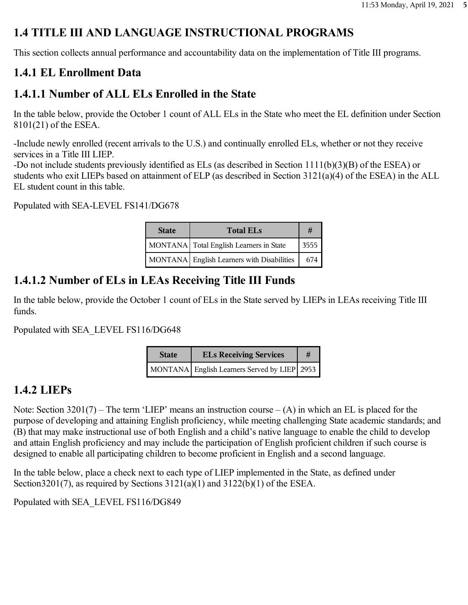# **1.4 TITLE III AND LANGUAGE INSTRUCTIONAL PROGRAMS**

This section collects annual performance and accountability data on the implementation of Title III programs.

## **1.4.1 EL Enrollment Data**

## **1.4.1.1 Number of ALL ELs Enrolled in the State**

In the table below, provide the October 1 count of ALL ELs in the State who meet the EL definition under Section 8101(21) of the ESEA.

-Include newly enrolled (recent arrivals to the U.S.) and continually enrolled ELs, whether or not they receive services in a Title III LIEP.

-Do not include students previously identified as ELs (as described in Section 1111(b)(3)(B) of the ESEA) or students who exit LIEPs based on attainment of ELP (as described in Section 3121(a)(4) of the ESEA) in the ALL EL student count in this table.

Populated with SEA-LEVEL FS141/DG678

| <b>State</b> | <b>Total ELs</b>                           |      |  |
|--------------|--------------------------------------------|------|--|
|              | MONTANA Total English Learners in State    | 3555 |  |
|              | MONTANA English Learners with Disabilities | 674  |  |

# **1.4.1.2 Number of ELs in LEAs Receiving Title III Funds**

In the table below, provide the October 1 count of ELs in the State served by LIEPs in LEAs receiving Title III funds.

Populated with SEA\_LEVEL FS116/DG648

| <b>State</b> | <b>ELs Receiving Services</b>                | # |
|--------------|----------------------------------------------|---|
|              | MONTANA English Learners Served by LIEP 2953 |   |

# **1.4.2 LIEPs**

Note: Section  $3201(7)$  – The term 'LIEP' means an instruction course – (A) in which an EL is placed for the purpose of developing and attaining English proficiency, while meeting challenging State academic standards; and (B) that may make instructional use of both English and a child's native language to enable the child to develop and attain English proficiency and may include the participation of English proficient children if such course is designed to enable all participating children to become proficient in English and a second language.

In the table below, place a check next to each type of LIEP implemented in the State, as defined under Section  $3201(7)$ , as required by Sections  $3121(a)(1)$  and  $3122(b)(1)$  of the ESEA.

Populated with SEA\_LEVEL FS116/DG849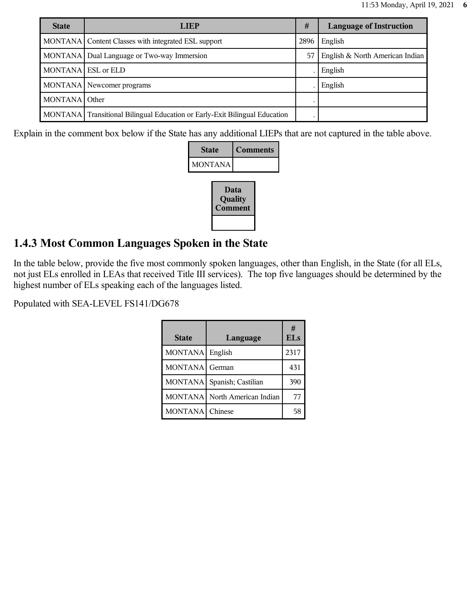| <b>State</b>       | <b>LIEP</b>                                                                | #    | <b>Language of Instruction</b>  |
|--------------------|----------------------------------------------------------------------------|------|---------------------------------|
|                    | MONTANA Content Classes with integrated ESL support                        | 2896 | English                         |
|                    | MONTANA   Dual Language or Two-way Immersion                               | 57   | English & North American Indian |
| MONTANA ESL or ELD |                                                                            |      | English                         |
|                    | MONTANA Newcomer programs                                                  |      | English                         |
| MONTANA Other      |                                                                            |      |                                 |
|                    | MONTANA Transitional Bilingual Education or Early-Exit Bilingual Education |      |                                 |

Explain in the comment box below if the State has any additional LIEPs that are not captured in the table above.

| <b>State</b> | <b>Comments</b> |
|--------------|-----------------|
| MONTANA      |                 |

| Data<br>Quality<br>Comment |
|----------------------------|
|                            |

#### **1.4.3 Most Common Languages Spoken in the State**

In the table below, provide the five most commonly spoken languages, other than English, in the State (for all ELs, not just ELs enrolled in LEAs that received Title III services). The top five languages should be determined by the highest number of ELs speaking each of the languages listed.

Populated with SEA-LEVEL FS141/DG678

| <b>State</b>   | Language              | #<br><b>ELs</b> |
|----------------|-----------------------|-----------------|
| <b>MONTANA</b> | English               | 2317            |
| <b>MONTANA</b> | German                | 431             |
| <b>MONTANA</b> | Spanish; Castilian    | 390             |
| <b>MONTANA</b> | North American Indian | 77              |
| <b>MONTANA</b> | Chinese               |                 |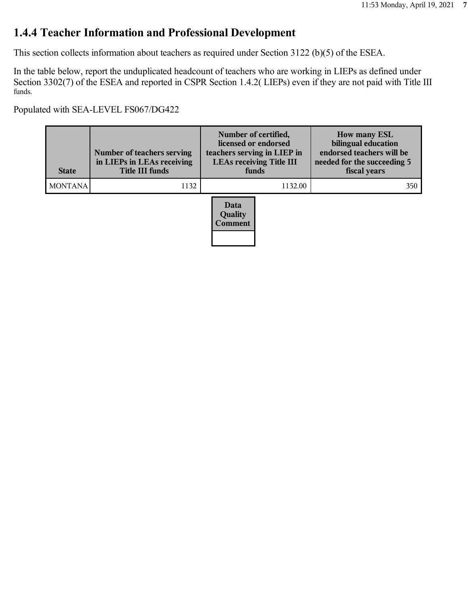## **1.4.4 Teacher Information and Professional Development**

This section collects information about teachers as required under Section 3122 (b)(5) of the ESEA.

In the table below, report the unduplicated headcount of teachers who are working in LIEPs as defined under Section 3302(7) of the ESEA and reported in CSPR Section 1.4.2( LIEPs) even if they are not paid with Title III funds.

Populated with SEA-LEVEL FS067/DG422

| <b>State</b>   | Number of teachers serving<br>in LIEPs in LEAs receiving<br><b>Title III funds</b> | Number of certified,<br>licensed or endorsed<br>teachers serving in LIEP in<br><b>LEAs receiving Title III</b><br>funds | <b>How many ESL</b><br>bilingual education<br>endorsed teachers will be<br>needed for the succeeding 5<br>fiscal years |
|----------------|------------------------------------------------------------------------------------|-------------------------------------------------------------------------------------------------------------------------|------------------------------------------------------------------------------------------------------------------------|
| <b>MONTANA</b> | 1132                                                                               | 1132.00                                                                                                                 | 350                                                                                                                    |
|                |                                                                                    | Data<br><b>Quality</b><br><b>Comment</b>                                                                                |                                                                                                                        |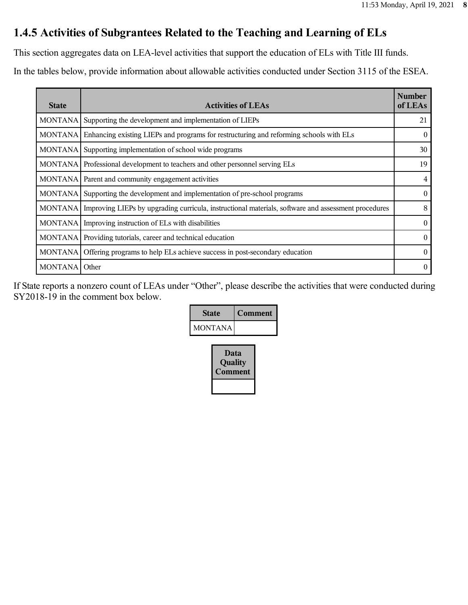## **1.4.5 Activities of Subgrantees Related to the Teaching and Learning of ELs**

This section aggregates data on LEA-level activities that support the education of ELs with Title III funds.

In the tables below, provide information about allowable activities conducted under Section 3115 of the ESEA.

| <b>State</b>    | <b>Activities of LEAs</b>                                                                           | <b>Number</b><br>of LEAs |
|-----------------|-----------------------------------------------------------------------------------------------------|--------------------------|
| MONTANA         | Supporting the development and implementation of LIEPs                                              | 21                       |
| MONTANA         | Enhancing existing LIEPs and programs for restructuring and reforming schools with ELs              | $\theta$                 |
| MONTANA         | Supporting implementation of school wide programs                                                   | 30                       |
|                 | MONTANA Professional development to teachers and other personnel serving ELs                        | 19                       |
|                 | MONTANA Parent and community engagement activities                                                  | 4                        |
| MONTANA         | Supporting the development and implementation of pre-school programs                                | $\theta$                 |
| <b>MONTANAI</b> | Improving LIEPs by upgrading curricula, instructional materials, software and assessment procedures | 8                        |
|                 | MONTANA   Improving instruction of ELs with disabilities                                            | $\theta$                 |
| MONTANA         | Providing tutorials, career and technical education                                                 | $\theta$                 |
| <b>MONTANA</b>  | Offering programs to help ELs achieve success in post-secondary education                           | $\theta$                 |
| MONTANA Other   |                                                                                                     | $\Omega$                 |

If State reports a nonzero count of LEAs under "Other", please describe the activities that were conducted during SY2018-19 in the comment box below.

| <b>State</b>   | <b>Comment</b> |
|----------------|----------------|
| <b>MONTANA</b> |                |
|                |                |

| Data<br>Quality<br><b>Comment</b> |  |
|-----------------------------------|--|
|                                   |  |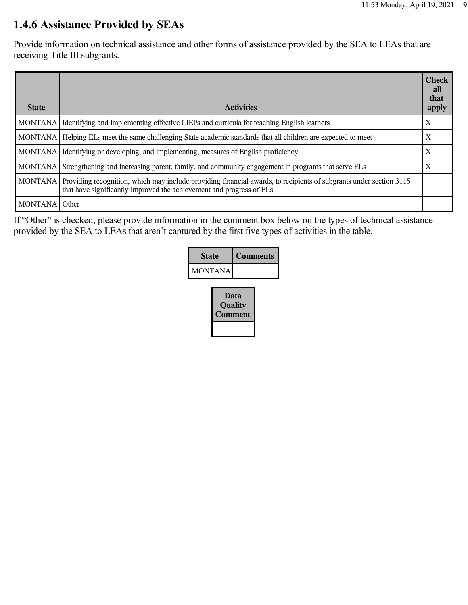#### **1.4.6 Assistance Provided by SEAs**

Provide information on technical assistance and other forms of assistance provided by the SEA to LEAs that are receiving Title III subgrants.

| <b>State</b>  | <b>Activities</b>                                                                                                                                                                                  | <b>Check</b><br>all<br>that<br>apply |
|---------------|----------------------------------------------------------------------------------------------------------------------------------------------------------------------------------------------------|--------------------------------------|
|               | MONTANA Identifying and implementing effective LIEPs and curricula for teaching English learners                                                                                                   | X                                    |
|               | MONTANA   Helping ELs meet the same challenging State academic standards that all children are expected to meet                                                                                    | X                                    |
|               | MONTANA I Identifying or developing, and implementing, measures of English proficiency                                                                                                             | $\boldsymbol{\mathrm{X}}$            |
|               | MONTANA Strengthening and increasing parent, family, and community engagement in programs that serve ELs                                                                                           | X                                    |
|               | MONTANA Providing recognition, which may include providing financial awards, to recipients of subgrants under section 3115<br>that have significantly improved the achievement and progress of ELs |                                      |
| MONTANA Other |                                                                                                                                                                                                    |                                      |

If "Other" is checked, please provide information in the comment box below on the types of technical assistance provided by the SEA to LEAs that aren't captured by the first five types of activities in the table.

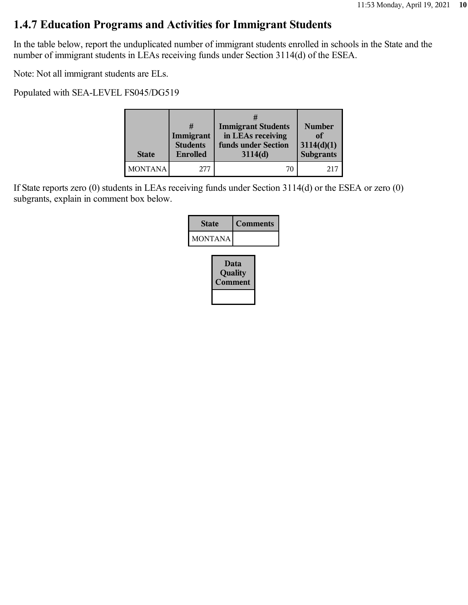#### **1.4.7 Education Programs and Activities for Immigrant Students**

In the table below, report the unduplicated number of immigrant students enrolled in schools in the State and the number of immigrant students in LEAs receiving funds under Section 3114(d) of the ESEA.

Note: Not all immigrant students are ELs.

Populated with SEA-LEVEL FS045/DG519

| <b>State</b>   | Immigrant<br><b>Students</b><br><b>Enrolled</b> | <b>Immigrant Students</b><br>in LEAs receiving<br>funds under Section<br>3114(d) | <b>Number</b><br>of<br>3114(d)(1)<br><b>Subgrants</b> |
|----------------|-------------------------------------------------|----------------------------------------------------------------------------------|-------------------------------------------------------|
| <b>MONTANA</b> | 277                                             | 70                                                                               | 21'                                                   |

If State reports zero (0) students in LEAs receiving funds under Section 3114(d) or the ESEA or zero (0) subgrants, explain in comment box below.

| <b>State</b>   | <b>Comments</b> |  |
|----------------|-----------------|--|
| <b>MONTANA</b> |                 |  |
|                | Data<br>Quality |  |

**Comment**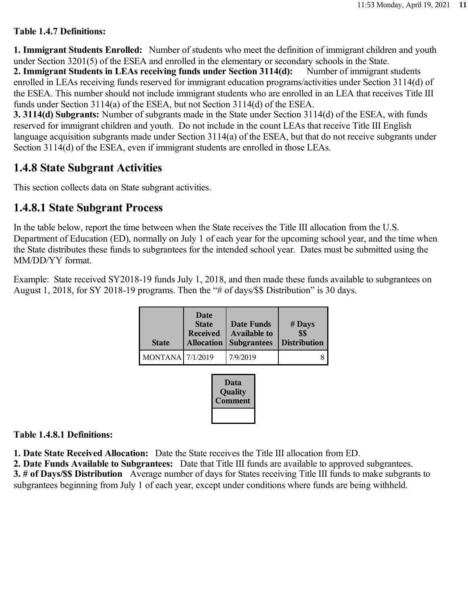#### **Table 1.4.7 Definitions:**

**1. Immigrant Students Enrolled:** Number of students who meet the definition of immigrant children and youth under Section 3201(5) of the ESEA and enrolled in the elementary or secondary schools in the State. **2. Immigrant Students in LEAs receiving funds under Section 3114(d):** Number of immigrant students enrolled in LEAs receiving funds reserved for immigrant education programs/activities under Section 3114(d) of the ESEA. This number should not include immigrant students who are enrolled in an LEA that receives Title III funds under Section 3114(a) of the ESEA, but not Section 3114(d) of the ESEA.

**3. 3114(d) Subgrants:** Number of subgrants made in the State under Section 3114(d) of the ESEA, with funds reserved for immigrant children and youth. Do not include in the count LEAs that receive Title III English language acquisition subgrants made under Section 3114(a) of the ESEA, but that do not receive subgrants under Section 3114(d) of the ESEA, even if immigrant students are enrolled in those LEAs.

#### **1.4.8 State Subgrant Activities**

This section collects data on State subgrant activities.

#### **1.4.8.1 State Subgrant Process**

In the table below, report the time between when the State receives the Title III allocation from the U.S. Department of Education (ED), normally on July 1 of each year for the upcoming school year, and the time when the State distributes these funds to subgrantees for the intended school year. Dates must be submitted using the MM/DD/YY format.

Example: State received SY2018-19 funds July 1, 2018, and then made these funds available to subgrantees on August 1, 2018, for SY 2018-19 programs. Then the "# of days/\$\$ Distribution" is 30 days.

| <b>State</b>            | Date<br><b>State</b><br><b>Received</b><br><b>Allocation</b> | <b>Date Funds</b><br><b>Available to</b><br><b>Subgrantees</b> | $#$ Days<br>\$\$<br><b>Distribution</b> |
|-------------------------|--------------------------------------------------------------|----------------------------------------------------------------|-----------------------------------------|
| <b>MONTANA</b> 7/1/2019 |                                                              | 7/9/2019                                                       |                                         |

| Data<br>Quality<br>Comment |
|----------------------------|
|                            |

**Table 1.4.8.1 Definitions:**

**1. Date State Received Allocation:** Date the State receives the Title III allocation from ED.

**2. Date Funds Available to Subgrantees:** Date that Title III funds are available to approved subgrantees. **3. # of Days/\$\$ Distribution** Average number of days for States receiving Title III funds to make subgrants to subgrantees beginning from July 1 of each year, except under conditions where funds are being withheld.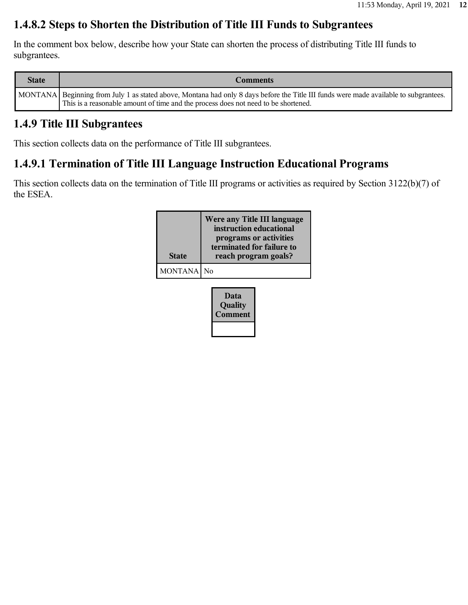#### **1.4.8.2 Steps to Shorten the Distribution of Title III Funds to Subgrantees**

In the comment box below, describe how your State can shorten the process of distributing Title III funds to subgrantees.

| <b>State</b> | <b>Comments</b>                                                                                                                                                                                                             |
|--------------|-----------------------------------------------------------------------------------------------------------------------------------------------------------------------------------------------------------------------------|
|              | MONTANA Beginning from July 1 as stated above, Montana had only 8 days before the Title III funds were made available to subgrantees.<br>This is a reasonable amount of time and the process does not need to be shortened. |

#### **1.4.9 Title III Subgrantees**

This section collects data on the performance of Title III subgrantees.

## **1.4.9.1 Termination of Title III Language Instruction Educational Programs**

This section collects data on the termination of Title III programs or activities as required by Section 3122(b)(7) of the ESEA.

| <b>State</b>   | Were any Title III language<br>instruction educational<br>programs or activities<br>terminated for failure to<br>reach program goals? |  |
|----------------|---------------------------------------------------------------------------------------------------------------------------------------|--|
| <b>MONTANA</b> | $\overline{N}$                                                                                                                        |  |
|                | Data<br>Quality<br>Comment                                                                                                            |  |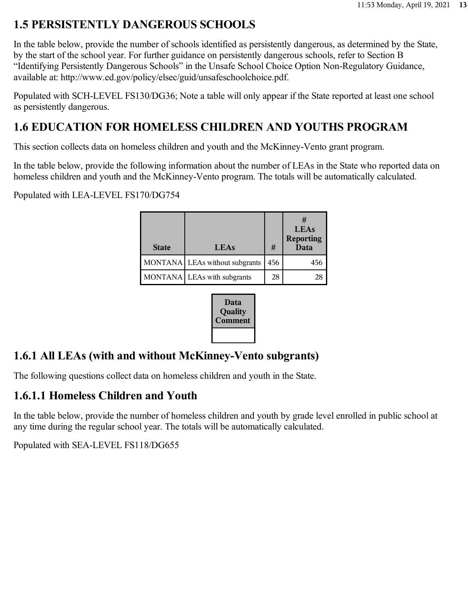# **1.5 PERSISTENTLY DANGEROUS SCHOOLS**

In the table below, provide the number of schools identified as persistently dangerous, as determined by the State, by the start of the school year. For further guidance on persistently dangerous schools, refer to Section B "Identifying Persistently Dangerous Schools" in the Unsafe School Choice Option Non-Regulatory Guidance, available at: http://www.ed.gov/policy/elsec/guid/unsafeschoolchoice.pdf.

Populated with SCH-LEVEL FS130/DG36; Note a table will only appear if the State reported at least one school as persistently dangerous.

# **1.6 EDUCATION FOR HOMELESS CHILDREN AND YOUTHS PROGRAM**

This section collects data on homeless children and youth and the McKinney-Vento grant program.

In the table below, provide the following information about the number of LEAs in the State who reported data on homeless children and youth and the McKinney-Vento program. The totals will be automatically calculated.

Populated with LEA-LEVEL FS170/DG754

| <b>State</b> | <b>LEAs</b>                      | #   | #<br><b>LEAs</b><br>Reporting<br>Data |
|--------------|----------------------------------|-----|---------------------------------------|
|              | MONTANA   LEAs without subgrants | 456 | 456                                   |
|              | MONTANA   LEAs with subgrants    | 28  | 28                                    |



# **1.6.1 All LEAs (with and without McKinney-Vento subgrants)**

The following questions collect data on homeless children and youth in the State.

## **1.6.1.1 Homeless Children and Youth**

In the table below, provide the number of homeless children and youth by grade level enrolled in public school at any time during the regular school year. The totals will be automatically calculated.

Populated with SEA-LEVEL FS118/DG655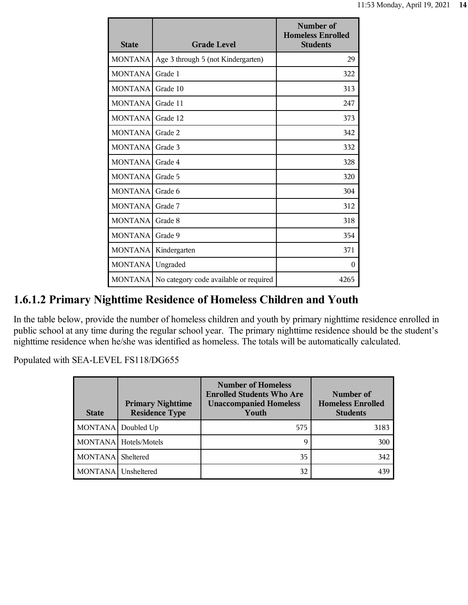| <b>State</b>   | <b>Grade Level</b>                     | Number of<br><b>Homeless Enrolled</b><br><b>Students</b> |
|----------------|----------------------------------------|----------------------------------------------------------|
| <b>MONTANA</b> | Age 3 through 5 (not Kindergarten)     | 29                                                       |
| <b>MONTANA</b> | Grade 1                                | 322                                                      |
| <b>MONTANA</b> | Grade 10                               | 313                                                      |
| <b>MONTANA</b> | Grade 11                               | 247                                                      |
| <b>MONTANA</b> | Grade 12                               | 373                                                      |
| <b>MONTANA</b> | Grade 2                                | 342                                                      |
| <b>MONTANA</b> | Grade 3                                | 332                                                      |
| <b>MONTANA</b> | Grade 4                                | 328                                                      |
| <b>MONTANA</b> | Grade 5                                | 320                                                      |
| <b>MONTANA</b> | Grade 6                                | 304                                                      |
| <b>MONTANA</b> | Grade 7                                | 312                                                      |
| <b>MONTANA</b> | Grade 8                                | 318                                                      |
| <b>MONTANA</b> | Grade 9                                | 354                                                      |
| <b>MONTANA</b> | Kindergarten                           | 371                                                      |
| <b>MONTANA</b> | Ungraded                               | $\Omega$                                                 |
| <b>MONTANA</b> | No category code available or required | 4265                                                     |

## **1.6.1.2 Primary Nighttime Residence of Homeless Children and Youth**

In the table below, provide the number of homeless children and youth by primary nighttime residence enrolled in public school at any time during the regular school year. The primary nighttime residence should be the student's nighttime residence when he/she was identified as homeless. The totals will be automatically calculated.

Populated with SEA-LEVEL FS118/DG655

| <b>State</b>   | <b>Primary Nighttime</b><br><b>Residence Type</b> | <b>Number of Homeless</b><br><b>Enrolled Students Who Are</b><br><b>Unaccompanied Homeless</b><br>Youth | Number of<br><b>Homeless Enrolled</b><br><b>Students</b> |
|----------------|---------------------------------------------------|---------------------------------------------------------------------------------------------------------|----------------------------------------------------------|
|                | MONTANA Doubled Up                                | 575                                                                                                     | 3183                                                     |
|                | MONTANA Hotels/Motels                             | 9                                                                                                       | 300                                                      |
| MONTANA        | Sheltered                                         | 35                                                                                                      | 342                                                      |
| <b>MONTANA</b> | Unsheltered                                       | 32                                                                                                      | 439                                                      |